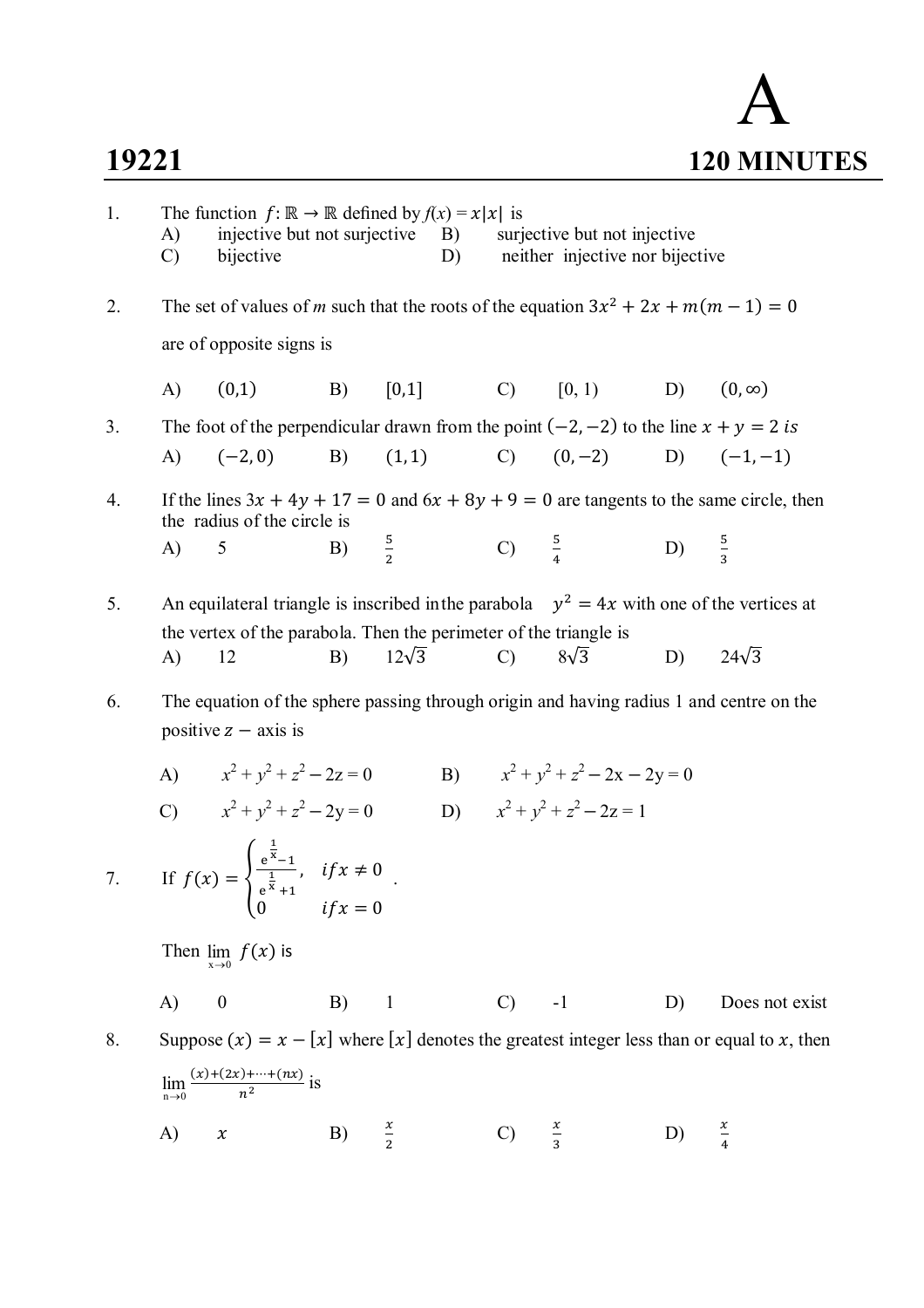## **19221**

$$
\mathbf{A}_{\text{120} \text{ MINUTES}}
$$

| 1. | A)<br>$\mathcal{C}$ | The function $f: \mathbb{R} \to \mathbb{R}$ defined by $f(x) = x x $ is<br>injective but not surjective B)<br>bijective                                          |            |                 | D) |                  | surjective but not injective<br>neither injective nor bijective |                  |                                                                                              |
|----|---------------------|------------------------------------------------------------------------------------------------------------------------------------------------------------------|------------|-----------------|----|------------------|-----------------------------------------------------------------|------------------|----------------------------------------------------------------------------------------------|
| 2. |                     | The set of values of m such that the roots of the equation $3x^2 + 2x + m(m - 1) = 0$                                                                            |            |                 |    |                  |                                                                 |                  |                                                                                              |
|    |                     | are of opposite signs is                                                                                                                                         |            |                 |    |                  |                                                                 |                  |                                                                                              |
|    | A)                  | (0,1)                                                                                                                                                            | B)         | $[0,1]$         |    |                  | C) [0, 1) D) $(0, \infty)$                                      |                  |                                                                                              |
| 3. |                     | The foot of the perpendicular drawn from the point $(-2, -2)$ to the line $x + y = 2$ is                                                                         |            |                 |    |                  |                                                                 |                  |                                                                                              |
|    |                     | A) $(-2,0)$                                                                                                                                                      |            |                 |    |                  | B) $(1,1)$ C) $(0,-2)$ D) $(-1,-1)$                             |                  |                                                                                              |
| 4. |                     | the radius of the circle is                                                                                                                                      |            |                 |    |                  |                                                                 |                  | If the lines $3x + 4y + 17 = 0$ and $6x + 8y + 9 = 0$ are tangents to the same circle, then  |
|    | A)                  | 5                                                                                                                                                                | B)         | $\frac{5}{2}$   |    | C) $\frac{5}{4}$ |                                                                 | D) $\frac{5}{3}$ |                                                                                              |
| 5. |                     | An equilateral triangle is inscribed in the parabola $y^2 = 4x$ with one of the vertices at<br>the vertex of the parabola. Then the perimeter of the triangle is |            |                 |    |                  |                                                                 |                  |                                                                                              |
|    | A)                  | 12                                                                                                                                                               |            | B) $12\sqrt{3}$ |    | C) $8\sqrt{3}$   |                                                                 | D) $24\sqrt{3}$  |                                                                                              |
| 6. |                     | The equation of the sphere passing through origin and having radius 1 and centre on the<br>positive $z - axis$ is                                                |            |                 |    |                  |                                                                 |                  |                                                                                              |
|    |                     | A) $x^2 + y^2 + z^2 - 2z = 0$                                                                                                                                    |            |                 |    |                  | B) $x^2 + y^2 + z^2 - 2x - 2y = 0$                              |                  |                                                                                              |
|    |                     | C) $x^2 + y^2 + z^2 - 2y = 0$                                                                                                                                    |            |                 |    |                  | D) $x^2 + y^2 + z^2 - 2z = 1$                                   |                  |                                                                                              |
|    |                     | 7. If $f(x) = \begin{cases} \frac{e^{\frac{1}{x}}-1}{e^{\frac{1}{x}}+1}, & if x \neq 0 \end{cases}$<br>$\overline{0}$                                            | $if x = 0$ |                 |    |                  |                                                                 |                  |                                                                                              |
|    |                     | Then $\lim_{x\to 0} f(x)$ is                                                                                                                                     |            |                 |    |                  |                                                                 |                  |                                                                                              |
|    | $\mathbf{A}$        | $\boldsymbol{0}$                                                                                                                                                 | $B)$ 1     |                 |    | (C)              | $-1$                                                            | D)               | Does not exist                                                                               |
| 8. |                     |                                                                                                                                                                  |            |                 |    |                  |                                                                 |                  | Suppose $(x) = x - [x]$ where [x] denotes the greatest integer less than or equal to x, then |
|    |                     | $\lim_{n\to 0} \frac{(x)+(2x)+\cdots+(nx)}{n^2}$ is                                                                                                              |            |                 |    |                  |                                                                 |                  |                                                                                              |
|    | A)                  | $\pmb{\chi}$                                                                                                                                                     | B)         | $\frac{x}{2}$   |    | $\mathcal{C}$    | $\frac{x}{3}$                                                   | D)               | $\frac{x}{4}$                                                                                |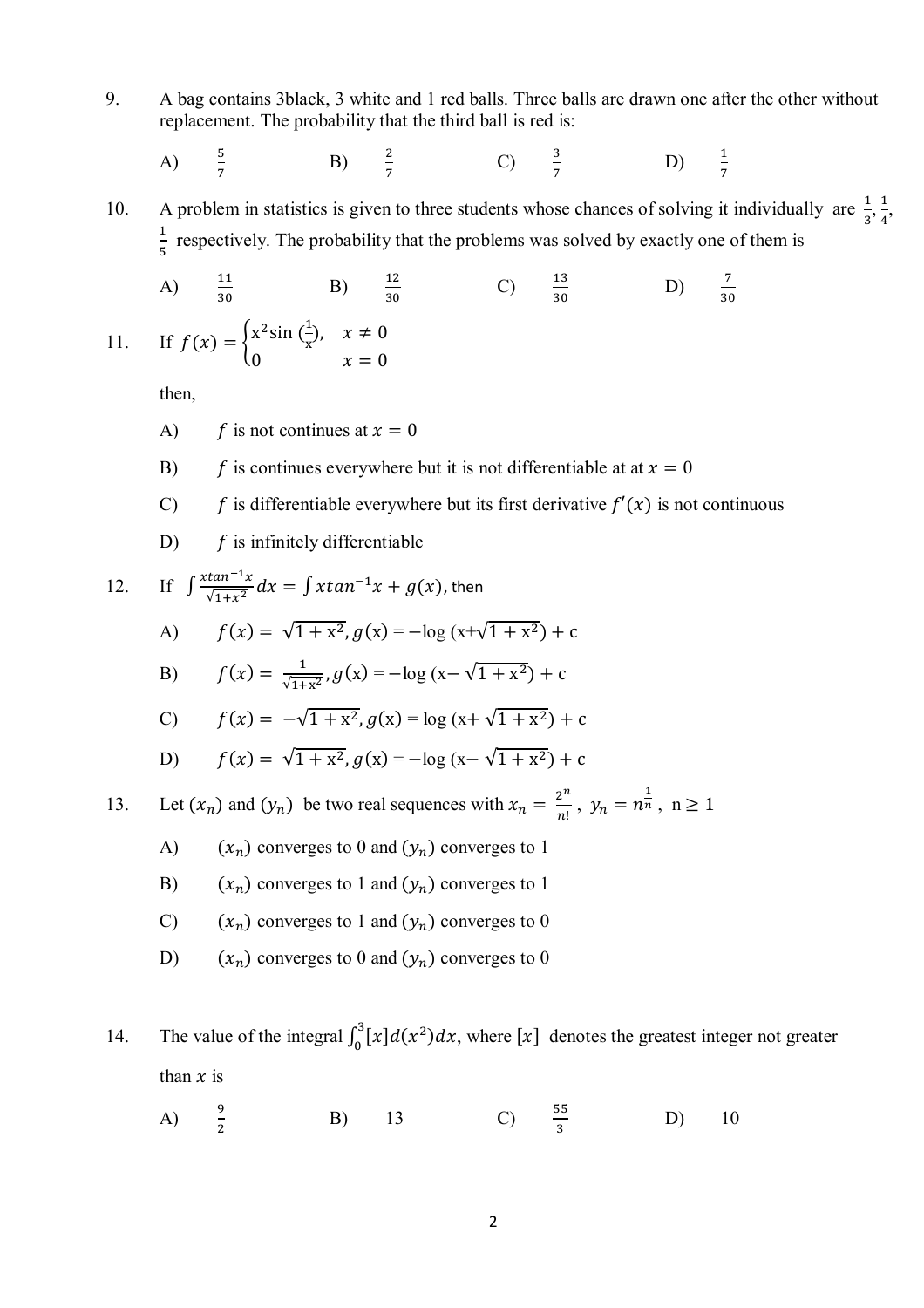9. A bag contains 3black, 3 white and 1 red balls. Three balls are drawn one after the other without replacement. The probability that the third ball is red is:

A) 
$$
\frac{5}{7}
$$
 \t\t B)  $\frac{2}{7}$  \t\t C)  $\frac{3}{7}$  \t\t D)  $\frac{1}{7}$ 

10. A problem in statistics is given to three students whose chances of solving it individually are  $\frac{1}{3}, \frac{1}{4}$  $\frac{1}{4}$ ,  $\mathbf 1$  $\frac{1}{5}$  respectively. The probability that the problems was solved by exactly one of them is

A) 
$$
\frac{11}{30}
$$
 B)  $\frac{12}{30}$  C)  $\frac{13}{30}$  D)  $\frac{7}{30}$   
If  $f(x) =\begin{cases} x^2 \sin(\frac{1}{x}), & x \neq 0 \\ 0 & x = 0 \end{cases}$ 

then,

 $11.$ 

- A)  $f$  is not continues at  $x = 0$
- B)  $f$  is continues everywhere but it is not differentiable at at  $x = 0$
- C)  $f$  is differentiable everywhere but its first derivative  $f'(x)$  is not continuous
- D)  $f$  is infinitely differentiable

12. If 
$$
\int \frac{x \tan^{-1}x}{\sqrt{1+x^2}} dx = \int x \tan^{-1}x + g(x)
$$
, then  
\nA)  $f(x) = \sqrt{1 + x^2}$ ,  $g(x) = -\log(x + \sqrt{1 + x^2}) + c$   
\nB)  $f(x) = \frac{1}{\sqrt{1+x^2}}$ ,  $g(x) = -\log(x - \sqrt{1 + x^2}) + c$   
\nC)  $f(x) = -\sqrt{1 + x^2}$ ,  $g(x) = \log(x + \sqrt{1 + x^2}) + c$   
\nD)  $f(x) = \sqrt{1 + x^2}$ ,  $g(x) = -\log(x - \sqrt{1 + x^2}) + c$   
\n13. Let  $(x_n)$  and  $(y_n)$  be two real sequences with  $x_n = \frac{2^n}{n!}$ ,  $y_n = n^{\frac{1}{n}}$ ,  $n \ge 1$   
\nA)  $(x_n)$  converges to 0 and  $(y_n)$  converges to 1  
\nB)  $(x_n)$  converges to 1 and  $(y_n)$  converges to 0  
\nC)  $(x_n)$  converges to 1 and  $(y_n)$  converges to 0  
\nD)  $(x_n)$  converges to 0 and  $(y_n)$  converges to 0

14. The value of the integral  $\int_0^3 [x] d(x^2) dx$ , where [x] denotes the greatest integer not greater than  $x$  is

A) 
$$
\frac{9}{2}
$$
 B) 13 C)  $\frac{55}{3}$  D) 10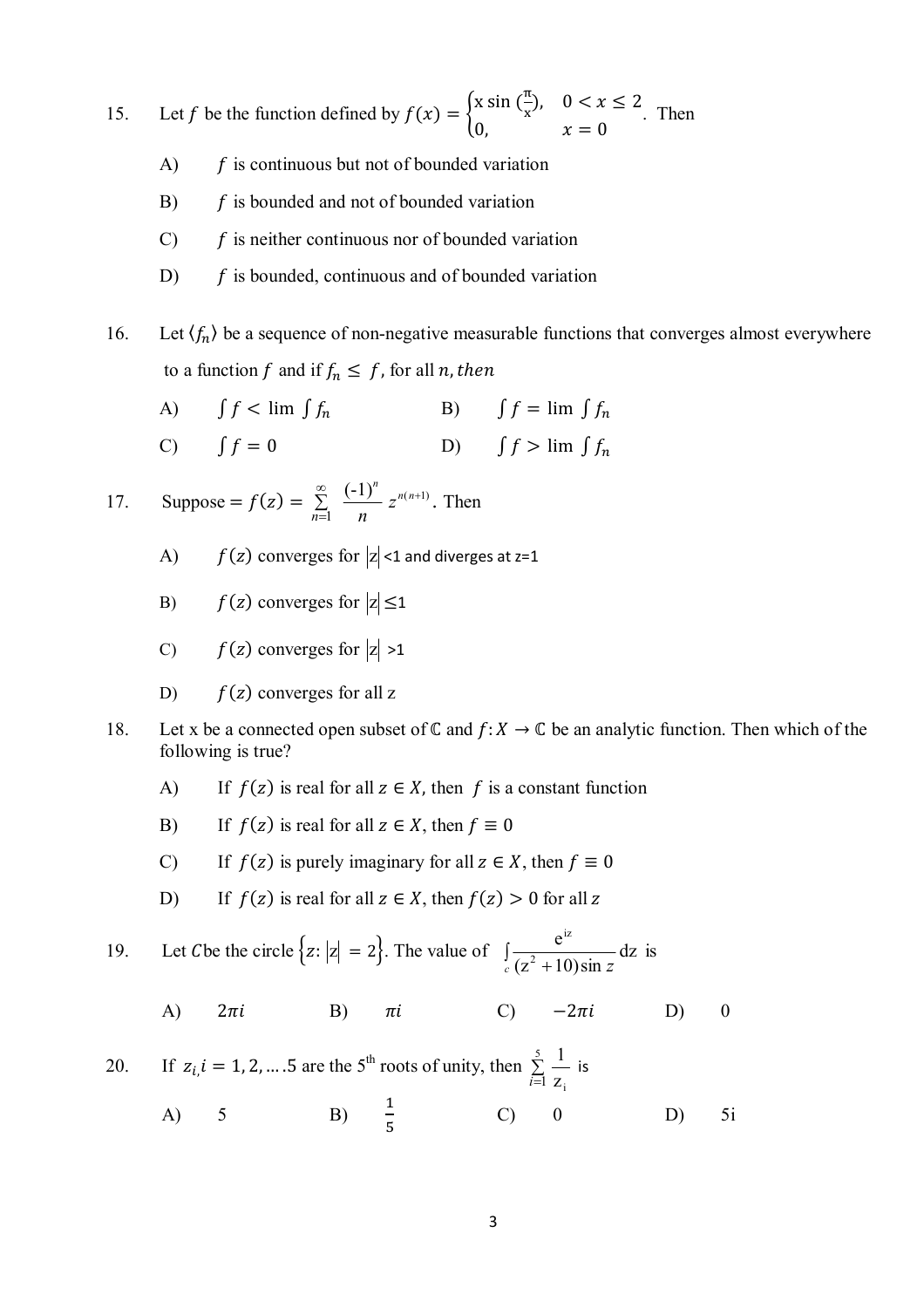15. Let f be the function defined by  $f(x) = \int_{0}^{\infty} x \sin(\frac{\pi}{x}) dx$  $(\frac{\pi}{x}), \quad 0 < x \leq 2$ 0,  $x = 0$ . Then

- $A$   $\hat{f}$  is continuous but not of bounded variation
- $B$ )  $f$  is bounded and not of bounded variation
- $C$   $\hat{f}$  is neither continuous nor of bounded variation
- D)  $f$  is bounded, continuous and of bounded variation

16. Let  $\langle f_n \rangle$  be a sequence of non-negative measurable functions that converges almost everywhere to a function f and if  $f_n \leq f$ , for all *n*, then

- A)  $\int f < \lim \int f_n$  B)  $\int f = \lim \int f_n$
- C)  $\int f = 0$  D)  $\int f > \lim \int f_n$

17. Suppose =  $f(z)$  = *n n n*  $(-1)$  $\sum_{i=1}$  $\infty$  $=$  $z^{n(n+1)}$ . Then

- A)  $f(z)$  converges for  $|z|$  <1 and diverges at z=1
- B)  $f(z)$  converges for  $|z| \leq 1$
- C)  $f(z)$  converges for  $|z| > 1$
- D)  $f(z)$  converges for all z
- 18. Let x be a connected open subset of  $\mathbb C$  and  $f: X \to \mathbb C$  be an analytic function. Then which of the following is true?
	- A) If  $f(z)$  is real for all  $z \in X$ , then f is a constant function
	- B) If  $f(z)$  is real for all  $z \in X$ , then  $f \equiv 0$
	- C) If  $f(z)$  is purely imaginary for all  $z \in X$ , then  $f \equiv 0$
	- D) If  $f(z)$  is real for all  $z \in X$ , then  $f(z) > 0$  for all z

19. Let C be the circle 
$$
\{z: |z| = 2\}
$$
. The value of  $\int_{c} \frac{e^{iz}}{(z^2 + 10)\sin z} dz$  is

A)  $2\pi i$  B)  $\pi i$  C)  $-2\pi i$  D) 0

20. If 
$$
z_{i}
$$
,  $i = 1, 2, \ldots 5$  are the 5<sup>th</sup> roots of unity, then  $\sum_{i=1}^{5} \frac{1}{z_i}$  is

A) 5 B) 
$$
\frac{1}{5}
$$
 C) 0 D) 5i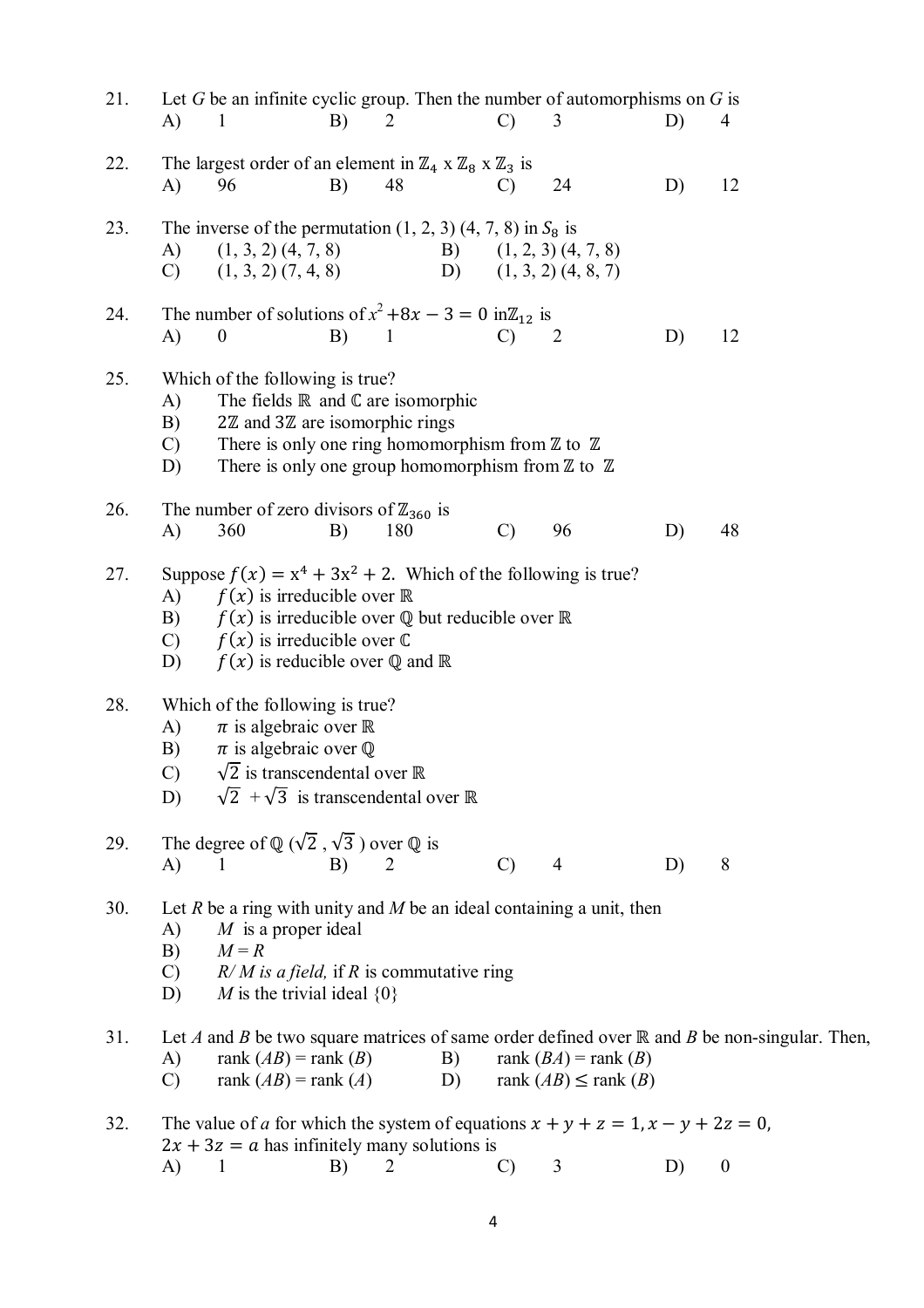| 21. | A)                              | Let G be an infinite cyclic group. Then the number of automorphisms on $G$ is<br>1                                                                                                                                                                                                              | B) | 2              |          | $\mathcal{C}$ | 3                                                        | D) | 4                                                                                                      |
|-----|---------------------------------|-------------------------------------------------------------------------------------------------------------------------------------------------------------------------------------------------------------------------------------------------------------------------------------------------|----|----------------|----------|---------------|----------------------------------------------------------|----|--------------------------------------------------------------------------------------------------------|
| 22. | A)                              | The largest order of an element in $\mathbb{Z}_4$ x $\mathbb{Z}_8$ x $\mathbb{Z}_3$ is<br>96                                                                                                                                                                                                    | B) | 48             |          | $\mathcal{C}$ | 24                                                       | D) | 12                                                                                                     |
| 23. | A)<br>$\mathcal{C}$             | The inverse of the permutation $(1, 2, 3)$ $(4, 7, 8)$ in $S_8$ is<br>$(1, 3, 2)$ $(4, 7, 8)$<br>$(1, 3, 2)$ $(7, 4, 8)$                                                                                                                                                                        |    |                |          |               | B) $(1, 2, 3)$ $(4, 7, 8)$<br>D) $(1, 3, 2)$ $(4, 8, 7)$ |    |                                                                                                        |
| 24. | A)                              | The number of solutions of $x^2 +8x - 3 = 0$ in $\mathbb{Z}_{12}$ is<br>$\boldsymbol{0}$                                                                                                                                                                                                        | B) | -1             |          | $\mathcal{C}$ | 2                                                        | D) | 12                                                                                                     |
| 25. | A)<br>B)<br>$\mathcal{C}$<br>D) | Which of the following is true?<br>The fields $\mathbb R$ and $\mathbb C$ are isomorphic<br>$2\mathbb{Z}$ and $3\mathbb{Z}$ are isomorphic rings<br>There is only one ring homomorphism from $\mathbb Z$ to $\mathbb Z$<br>There is only one group homomorphism from $\mathbb Z$ to $\mathbb Z$ |    |                |          |               |                                                          |    |                                                                                                        |
| 26. | A)                              | The number of zero divisors of $\mathbb{Z}_{360}$ is<br>360                                                                                                                                                                                                                                     | B) | 180            |          | $\mathcal{C}$ | 96                                                       | D) | 48                                                                                                     |
| 27. | A)<br>B)<br>$\mathcal{C}$<br>D) | Suppose $f(x) = x^4 + 3x^2 + 2$ . Which of the following is true?<br>$f(x)$ is irreducible over $\mathbb R$<br>$f(x)$ is irreducible over Q but reducible over R<br>$f(x)$ is irreducible over $\mathbb C$<br>$f(x)$ is reducible over Q and R                                                  |    |                |          |               |                                                          |    |                                                                                                        |
| 28. | A)<br>B)<br>$\mathcal{C}$<br>D) | Which of the following is true?<br>$\pi$ is algebraic over $\mathbb R$<br>$\pi$ is algebraic over $\mathbb Q$<br>$\sqrt{2}$ is transcendental over $\mathbb R$<br>$\sqrt{2} + \sqrt{3}$ is transcendental over $\mathbb R$                                                                      |    |                |          |               |                                                          |    |                                                                                                        |
| 29. | A)                              | The degree of $\mathbb{Q}(\sqrt{2}, \sqrt{3})$ over $\mathbb{Q}$ is<br>$\mathbf{1}$                                                                                                                                                                                                             | B) | $\overline{2}$ |          | $\mathcal{C}$ | $\overline{4}$                                           | D) | 8                                                                                                      |
| 30. | A)<br>B)<br>$\mathcal{C}$<br>D) | Let R be a ring with unity and M be an ideal containing a unit, then<br>$M$ is a proper ideal<br>$M = R$<br>$R/M$ is a field, if R is commutative ring<br>M is the trivial ideal $\{0\}$                                                                                                        |    |                |          |               |                                                          |    |                                                                                                        |
| 31. | A)<br>$\mathcal{C}$             | rank $(AB)$ = rank $(B)$<br>rank $(AB)$ = rank $(A)$                                                                                                                                                                                                                                            |    |                | B)<br>D) |               | rank $(BA)$ = rank $(B)$<br>rank $(AB) \leq$ rank $(B)$  |    | Let A and B be two square matrices of same order defined over $\mathbb R$ and B be non-singular. Then, |
| 32. |                                 | The value of a for which the system of equations $x + y + z = 1$ , $x - y + 2z = 0$ ,<br>$2x + 3z = a$ has infinitely many solutions is                                                                                                                                                         |    |                |          |               |                                                          |    |                                                                                                        |
|     | A)                              | $\mathbf{1}$                                                                                                                                                                                                                                                                                    | B) | 2              |          | $\mathcal{C}$ | 3                                                        | D) | $\boldsymbol{0}$                                                                                       |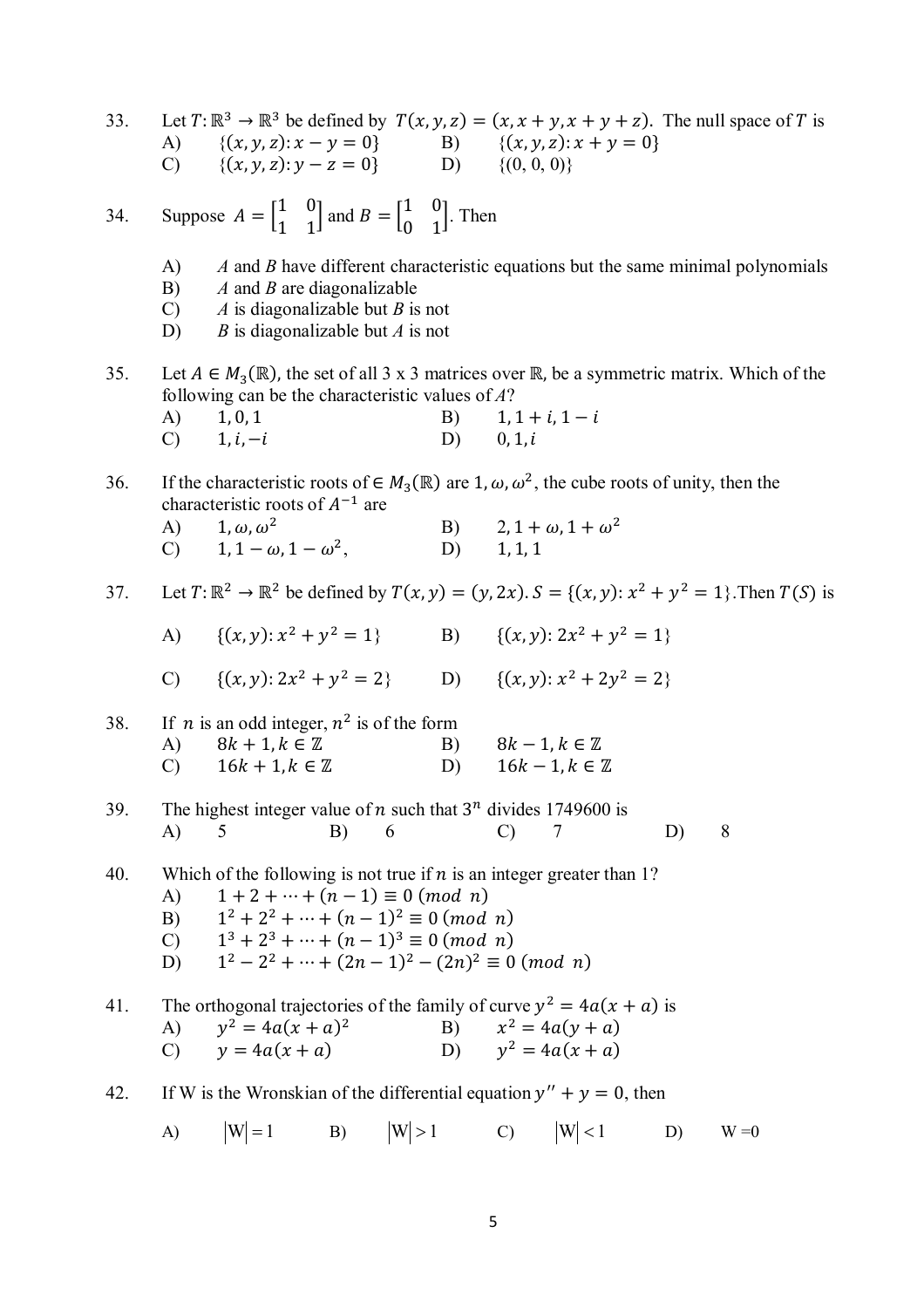33. Let  $T: \mathbb{R}^3 \to \mathbb{R}^3$  be defined by  $T(x, y, z) = (x, x + y, x + y + z)$ . The null space of T is A)  $\{(x, y, z): x - y = 0\}$  B)  $\{(x, y, z): x + y = 0\}$  $(C)$  { $(x, y, z): y - z = 0$ } (0, 0, 0)}

34. Suppose 
$$
A = \begin{bmatrix} 1 & 0 \\ 1 & 1 \end{bmatrix}
$$
 and  $B = \begin{bmatrix} 1 & 0 \\ 0 & 1 \end{bmatrix}$ . Then

A) *A* and *B* have different characteristic equations but the same minimal polynomials

- B) *A* and *B* are diagonalizable
- C) *A* is diagonalizable but *B* is not
- D) *B* is diagonalizable but *A* is not

35. Let  $A \in M_3(\mathbb{R})$ , the set of all 3 x 3 matrices over  $\mathbb{R}$ , be a symmetric matrix. Which of the following can be the characteristic values of *A*? A)  $1, 0, 1$  B)  $1, 1 + i, 1 - i$ C)  $1, i, -i$  D)  $0, 1, i$ 

36. If the characteristic roots of  $\in M_3(\mathbb{R})$  are 1,  $\omega$ ,  $\omega^2$ , the cube roots of unity, then the characteristic roots of  $A^{-1}$  are

| A) $1, \omega, \omega^2$           | B) $2, 1 + \omega, 1 + \omega^2$ |
|------------------------------------|----------------------------------|
| C) $1, 1 - \omega, 1 - \omega^2$ , | D) $1, 1, 1$                     |

37. Let  $T: \mathbb{R}^2 \to \mathbb{R}^2$  be defined by  $T(x, y) = (y, 2x)$ .  $S = \{(x, y): x^2 + y^2 = 1\}$ . Then  $T(S)$  is

| A) $\{(x, y): x^2 + y^2 = 1\}$ | B) $\{(x, y): 2x^2 + y^2 = 1\}$ |
|--------------------------------|---------------------------------|
|                                |                                 |

C) 
$$
\{(x, y): 2x^2 + y^2 = 2\}
$$
 D)  $\{(x, y): x^2 + 2y^2 = 2\}$ 

38. If *n* is an odd integer, 
$$
n^2
$$
 is of the form  
\nA)  $8k + 1, k \in \mathbb{Z}$   
\nB)  $8k - 1, k \in \mathbb{Z}$   
\nC)  $16k + 1, k \in \mathbb{Z}$   
\nD)  $16k - 1, k \in \mathbb{Z}$ 

- 39. The highest integer value of *n* such that  $3^n$  divides 1749600 is A) 5 B) 6 C) 7 D) 8
- 40. Which of the following is not true if  $n$  is an integer greater than 1?
	- (A)  $1 + 2 + \dots + (n 1) \equiv 0 \pmod{n}$
	- $B)$  $x^2 + 2^2 + \cdots + (n-1)^2 \equiv 0 \pmod{n}$
	- $\mathcal{C}$  $3 + 2^3 + \cdots + (n-1)^3 \equiv 0 \pmod{n}$
	- $D$ )  $x^2-2^2+\cdots+(2n-1)^2-(2n)^2\equiv 0\ (mod\ n)$

41. The orthogonal trajectories of the family of curve  $y^2 = 4a(x + a)$  is  $A)$  $y^2 = 4a(x + a)^2$  $B)$  $x^2 = 4a(y + a)$ (C)  $y = 4a(x + a)$  D)  $v^2 = 4a(x + a)$ 

- 42. If W is the Wronskian of the differential equation  $y'' + y = 0$ , then
	- A)  $|W| = 1$  B)  $|W| > 1$  C)  $|W| < 1$  D)  $W = 0$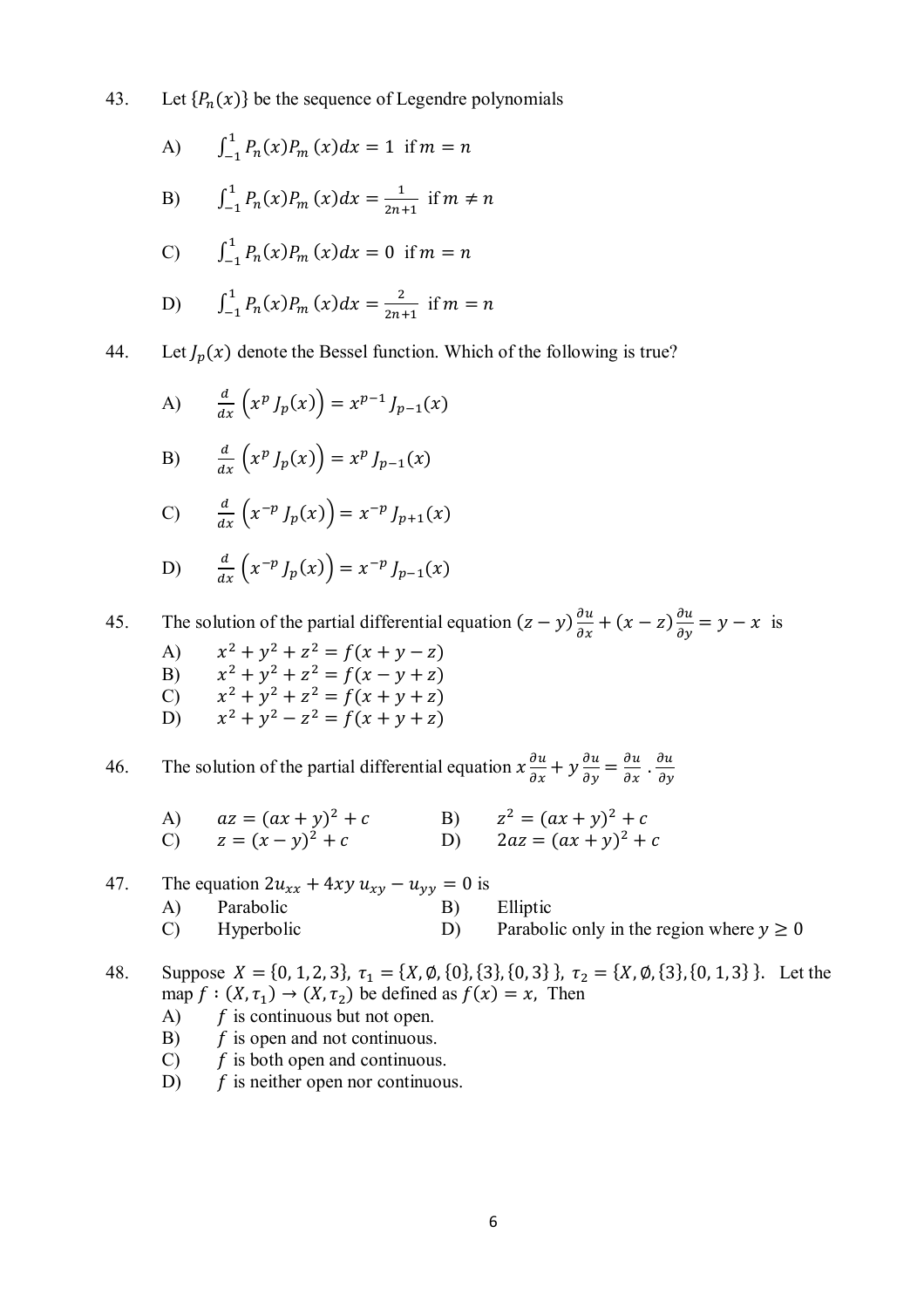43. Let  $\{P_n(x)\}$  be the sequence of Legendre polynomials

A) 
$$
\int_{-1}^{1} P_n(x) P_m(x) dx = 1 \text{ if } m = n
$$

B) 
$$
\int_{-1}^{1} P_n(x) P_m(x) dx = \frac{1}{2n+1} \text{ if } m \neq n
$$

C) 
$$
\int_{-1}^{1} P_n(x) P_m(x) dx = 0 \text{ if } m = n
$$

D) 
$$
\int_{-1}^{1} P_n(x) P_m(x) dx = \frac{2}{2n+1} \text{ if } m = n
$$

44. Let  $J_p(x)$  denote the Bessel function. Which of the following is true?

A) 
$$
\frac{d}{dx} (x^p J_p(x)) = x^{p-1} J_{p-1}(x)
$$

B) 
$$
\frac{d}{dx}\left(x^p J_p(x)\right) = x^p J_{p-1}(x)
$$

$$
C) \qquad \frac{d}{dx}\left(x^{-p}J_p(x)\right) = x^{-p}J_{p+1}(x)
$$

D) 
$$
\frac{d}{dx} (x^{-p} J_p(x)) = x^{-p} J_{p-1}(x)
$$

45. The solution of the partial differential equation  $(z - y) \frac{\partial u}{\partial x} + (x - z)$  $\frac{\partial u}{\partial y} = y - x$  is

- $A)$   $x$  $x^2 + y^2 + z^2 = f(x + y - z)$
- B)  $x^2 + y^2 + z^2 = f(x y + z)$ C)  $x^2 + y^2 + z^2 = f(x + y + z)$
- D)  $x^2 + y^2 z^2 = f(x + y + z)$

46. The solution of the partial differential equation  $x \frac{\partial u}{\partial x} + y$  $\frac{\partial u}{\partial y} = \frac{\partial u}{\partial x} \cdot \frac{\partial u}{\partial y}$  $\partial y$ 

A)  $az = (ax + y)^2 + c$  B)  $z^2 = (ax + y)^2 + c$ (c)  $z = (x - y)^2 + c$  (D)  $2az = (ax + y)^2 + c$ 

47. The equation 
$$
2u_{xx} + 4xy u_{xy} - u_{yy} = 0
$$
 is  
\n(A) Parabolic  
\n(B) Elliptic  
\n(B) Parabolic only in the region where  $y \ge 0$ 

48. Suppose  $X = \{0, 1, 2, 3\}, \tau_1 = \{X, \emptyset, \{0\}, \{3\}, \{0, 3\}\}, \tau_2 = \{X, \emptyset, \{3\}, \{0, 1, 3\}\}.$  Let the map  $f : (X, \tau_1) \to (X, \tau_2)$  be defined as  $f(x) = x$ , Then

- $A)$   $\overrightarrow{f}$  is continuous but not open.
- $\mathbf{B}$   $\mathbf{f}$  is open and not continuous.
- C)  $f$  is both open and continuous.
- D)  $f$  is neither open nor continuous.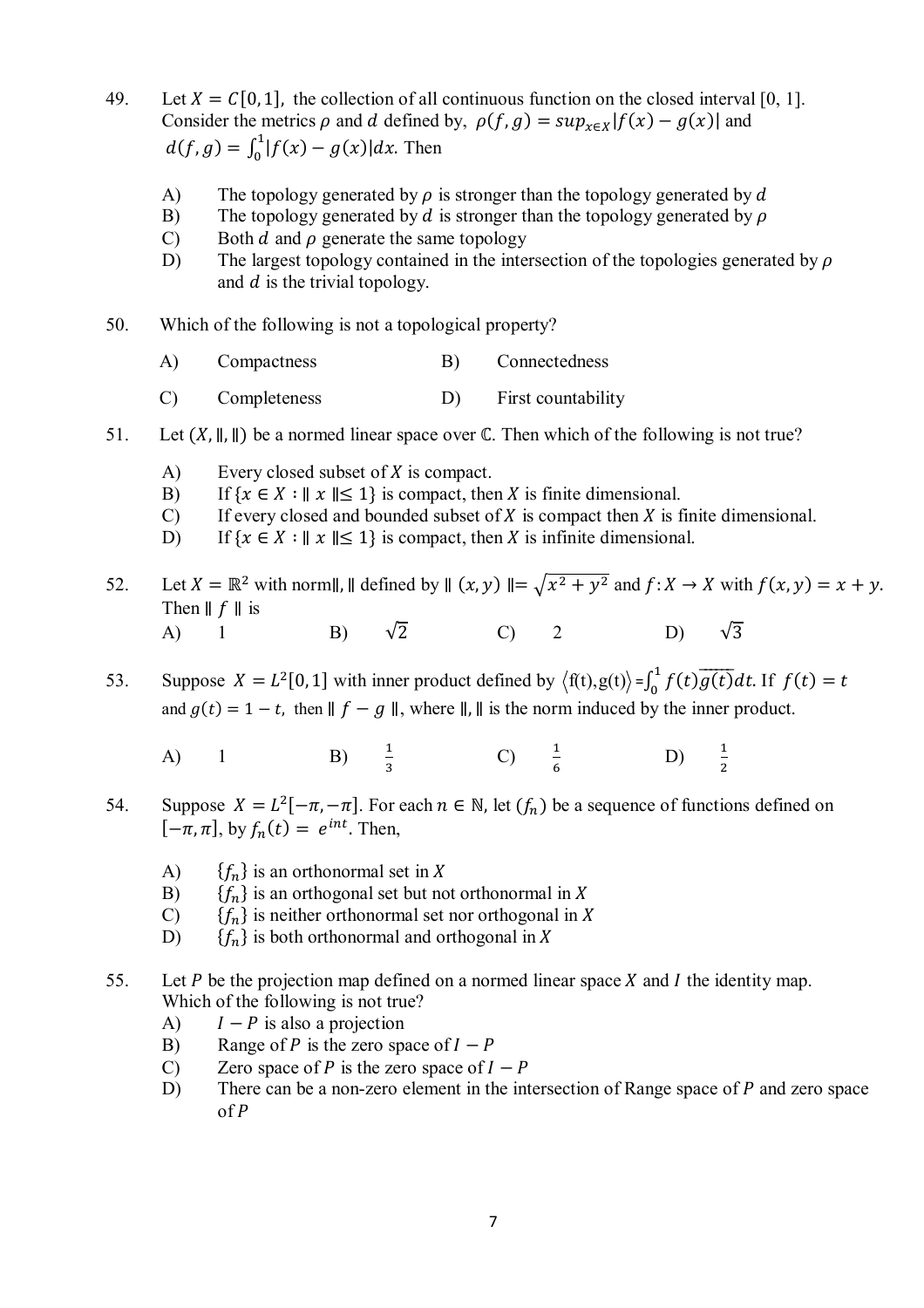- 49. Let  $X = C[0, 1]$ , the collection of all continuous function on the closed interval [0, 1]. Consider the metrics  $\rho$  and  $d$  defined by,  $\rho(f, g) = \sup_{x \in X} |f(x) - g(x)|$  and  $d(f, g) = \int_0^1 |f(x) - g(x)| dx.$  $\int_{0}^{1} |f(x) - g(x)| dx$ . Then
	- A) The topology generated by  $\rho$  is stronger than the topology generated by  $d$
	- B) The topology generated by d is stronger than the topology generated by  $\rho$
	- C) Both  $d$  and  $\rho$  generate the same topology
	- D) The largest topology contained in the intersection of the topologies generated by  $\rho$ and  $d$  is the trivial topology.
- 50. Which of the following is not a topological property?
	- A) Compactness B) Connectedness
	- C) Completeness D) First countability
- 51. Let  $(X, \parallel, \parallel)$  be a normed linear space over  $\mathbb C$ . Then which of the following is not true?
	- A) Every closed subset of  $X$  is compact.
	- B) If  $\{x \in X : ||x|| \le 1\}$  is compact, then X is finite dimensional.
	- C) If every closed and bounded subset of  $X$  is compact then  $X$  is finite dimensional.
	- D) If  $\{x \in X : ||x|| \le 1\}$  is compact, then X is infinite dimensional.
- 52. Let  $X = \mathbb{R}^2$  with norm||, || defined by  $|| (x, y) || = \sqrt{x^2 + y^2}$  and  $f: X \to X$  with  $f(x, y) = x + y$ . Then  $\parallel f \parallel$  is A) 1 B)  $\sqrt{2}$  C) 2 D)  $\sqrt{3}$
- 53. Suppose  $X = L^2[0, 1]$  with inner product defined by  $\langle f(t), g(t) \rangle = \int_0^1 f(t) \overline{g(t)} dt$ .  $\int_{0}^{1} f(t)g(t)dt$ . If  $f(t) = t$ and  $g(t) = 1 - t$ , then  $|| f - g ||$ , where  $||$ ,  $||$  is the norm induced by the inner product.
	- A) 1 B)  $\frac{1}{3}$  C)  $\frac{1}{6}$  D)  $\frac{1}{2}$
- 54. Suppose  $X = L^2[-\pi, -\pi]$ . For each  $n \in \mathbb{N}$ , let  $(f_n)$  be a sequence of functions defined on  $[-\pi, \pi]$ , by  $f_n(t) = e^{int}$ . Then,
	- A)  ${f_n}$  is an orthonormal set in X
	- B)  ${f_n}$  is an orthogonal set but not orthonormal in X
	- C)  ${f_n}$  is neither orthonormal set nor orthogonal in X
	- D)  ${f_n}$  is both orthonormal and orthogonal in X
- 55. Let *P* be the projection map defined on a normed linear space *X* and *I* the identity map. Which of the following is not true?
	- A)  $I P$  is also a projection
	- B) Range of P is the zero space of  $I P$
	- C) Zero space of P is the zero space of  $I P$
	- D) There can be a non-zero element in the intersection of Range space of  $P$  and zero space of  $P$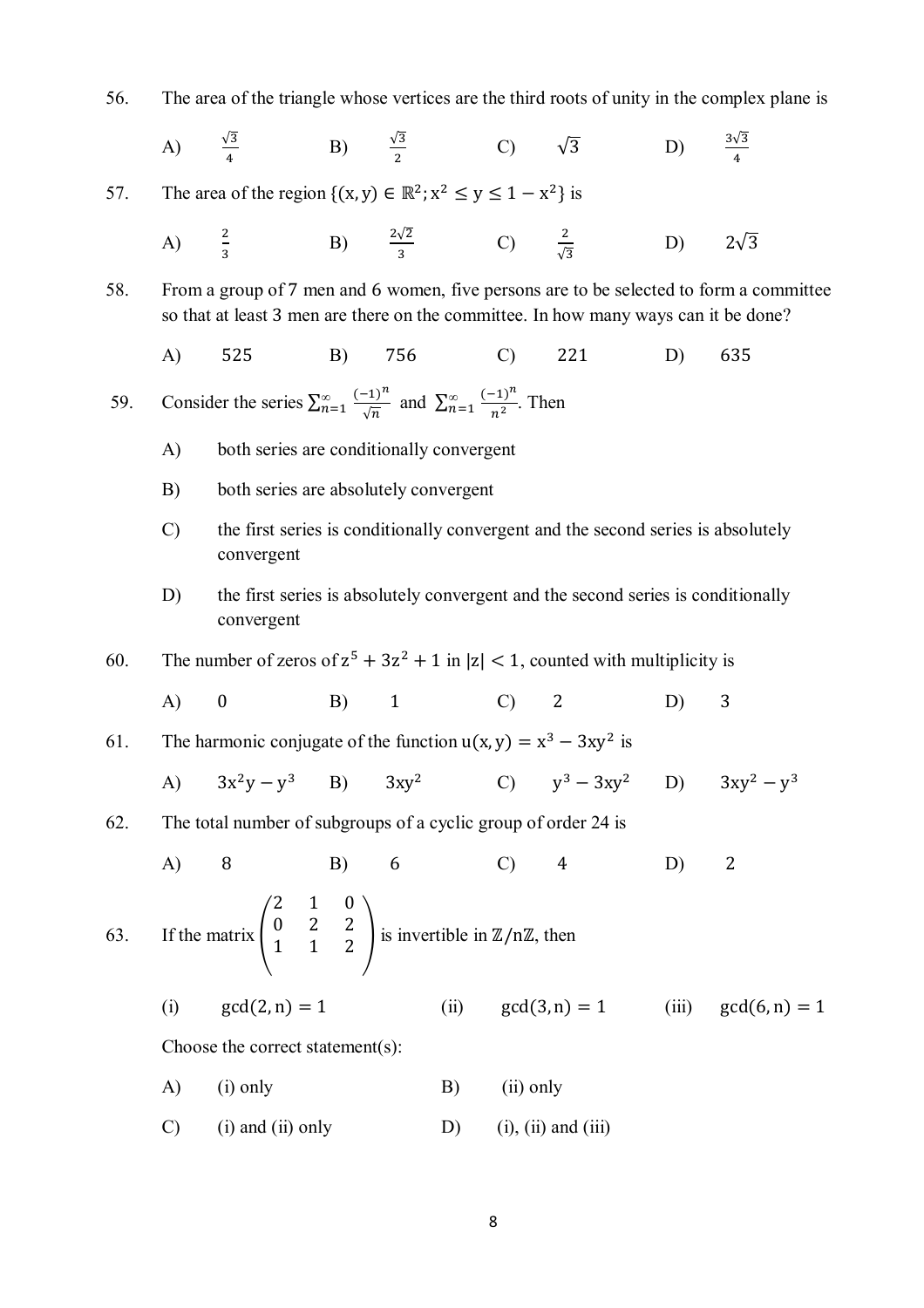56. The area of the triangle whose vertices are the third roots of unity in the complex plane is

A) 
$$
\frac{\sqrt{3}}{4}
$$
 B)  $\frac{\sqrt{3}}{2}$  C)  $\sqrt{3}$  D)  $\frac{3\sqrt{3}}{4}$ 

57. The area of the region 
$$
\{(x, y) \in \mathbb{R}^2; x^2 \le y \le 1 - x^2\}
$$
 is

A) 
$$
\frac{2}{3}
$$
 \t\t B)  $\frac{2\sqrt{2}}{3}$  \t\t C)  $\frac{2}{\sqrt{3}}$  \t\t D)  $2\sqrt{3}$ 

58. From a group of 7 men and 6 women, five persons are to be selected to form a committee so that at least 3 men are there on the committee. In how many ways can it be done?

A) 525 B) 756 C) 221 D) 635

59. Consider the series  $\sum_{n=1}^{\infty}$  $(-1)^n$  $\frac{(-1)^n}{\sqrt{n}}$  and  $\sum_{n=1}^{\infty}$  $(-1)^n$  $\frac{1}{n^2}$ . Then

- A) both series are conditionally convergent
- B) both series are absolutely convergent
- C) the first series is conditionally convergent and the second series is absolutely convergent
- D) the first series is absolutely convergent and the second series is conditionally convergent

60. The number of zeros of 
$$
z^5 + 3z^2 + 1
$$
 in  $|z| < 1$ , counted with multiplicity is

A) 0 B) 1 C) 2 D) 3  
61. The harmonic conjugate of the function 
$$
u(x, y) = x^3 - 3xy^2
$$
 is

A) 
$$
3x^2y - y^3
$$
 B)  $3xy^2$  C)  $y^3 - 3xy^2$  D)  $3xy^2 - y^3$ 

62. The total number of subgroups of a cyclic group of order 24 is

A) 8 B) 6 C) 4 D) 2  
63. If the matrix 
$$
\begin{pmatrix} 2 & 1 & 0 \\ 0 & 2 & 2 \\ 1 & 1 & 2 \end{pmatrix}
$$
 is invertible in  $\mathbb{Z}/n\mathbb{Z}$ , then

(i)  $gcd(2, n) = 1$  (ii)  $gcd(3, n) = 1$  (iii)  $gcd(6, n) = 1$ 

Choose the correct statement(s):

- A) (i) only B) (ii) only
- C) (i) and (ii) only D) (i), (ii) and (iii)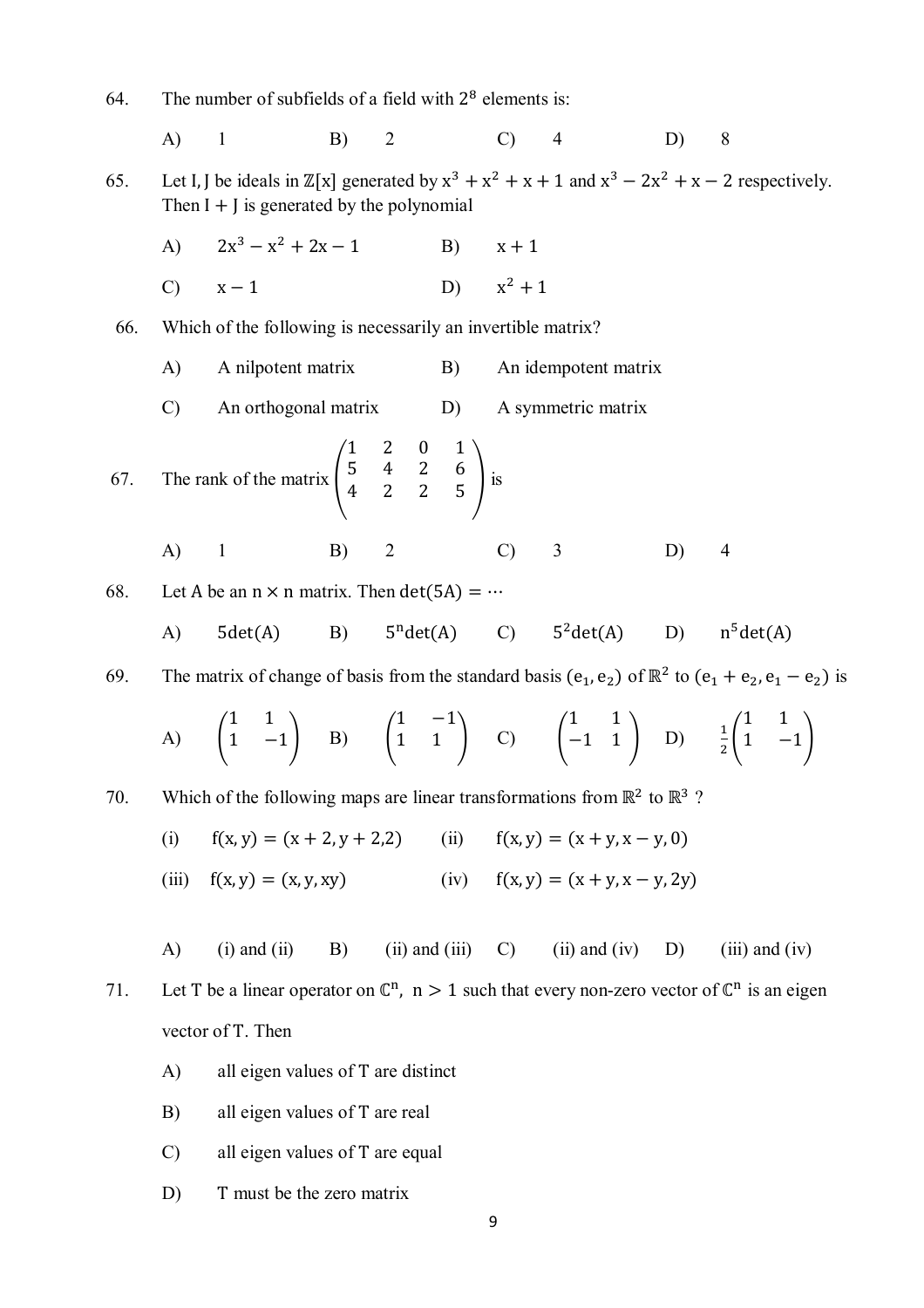64. The number of subfields of a field with  $2^8$  elements is: A) 1 B) 2 C) 4 D) 8 65. Let I, J be ideals in  $\mathbb{Z}[x]$  generated by  $x^3 + x^2 + x + 1$  and  $x^3 - 2x^2 + x - 2$  respectively. Then  $I + J$  is generated by the polynomial  $A)$  $3 - x^2 + 2x - 1$  B)  $x + 1$ C)  $x-1$  D)  $x^2+1$  66. Which of the following is necessarily an invertible matrix? A) A nilpotent matrix B) An idempotent matrix C) An orthogonal matrix D) A symmetric matrix 67. The rank of the matrix  $\vert$ 1 2 0 1 5 4 2 6  $\begin{array}{ccc} 3 & 7 & 2 & 0 \\ 4 & 2 & 2 & 5 \end{array}$  is A) 1 B) 2 C) 3 D) 4 68. Let A be an  $n \times n$  matrix. Then det(5A) =  $\cdots$  $A)$  5det $(A)$  B)  $n \cdot \text{det}(A)$  C)  $5^2 \cdot \text{det}(A)$  D) n  $n^5$ det(A) 69. The matrix of change of basis from the standard basis  $(e_1, e_2)$  of  $\mathbb{R}^2$  to  $(e_1 + e_2, e_1 - e_2)$  is  $(A)$ 1 1  $1 -1$  B)  $\left($ 1 −1  $1 \quad 1 \quad | \quad C) \quad |$ 1 1  $\begin{bmatrix} -1 & 1 \\ -1 & 1 \end{bmatrix}$  D)  $\frac{1}{2}$ 1 1  $1 -1$ 70. Which of the following maps are linear transformations from  $\mathbb{R}^2$  to  $\mathbb{R}^3$  ? (i)  $f(x, y) = (x + 2, y + 2, z)$  (ii)  $f(x, y) = (x + y, x - y, 0)$ (iii)  $f(x, y) = (x, y, xy)$  (iv)  $f(x, y) = (x + y, x - y, 2y)$ A) (i) and (ii) B) (ii) and (iii) C) (ii) and (iv) D) (iii) and (iv) 71. Let T be a linear operator on  $\mathbb{C}^n$ ,  $n > 1$  such that every non-zero vector of  $\mathbb{C}^n$  is an eigen vector of T. Then A) all eigen values of T are distinct B) all eigen values of T are real C) all eigen values of T are equal D) T must be the zero matrix

9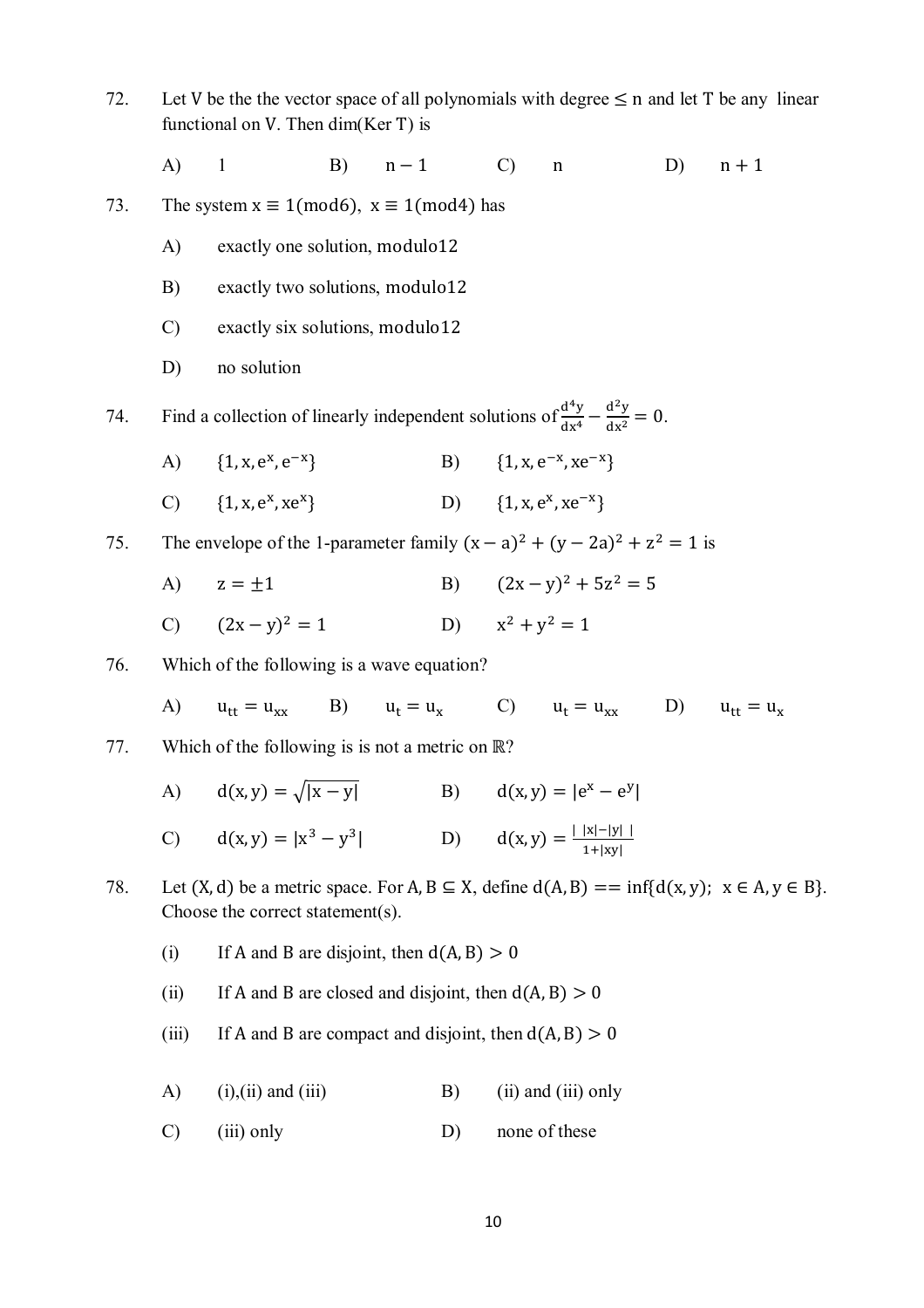72. Let V be the the vector space of all polynomials with degree  $\leq$  n and let T be any linear functional on V. Then dim(Ker T) is

A) 1 B)  $n-1$  C) n D)  $n+1$ 

73. The system  $x \equiv 1 \pmod{6}$ ,  $x \equiv 1 \pmod{4}$  has

- A) exactly one solution, modulo12
- B) exactly two solutions, modulo12
- C) exactly six solutions, modulo12
- D) no solution

74. Find a collection of linearly independent solutions of  $\frac{d^4y}{dx^4}$  $\frac{d^4y}{dx^4} - \frac{d^2y}{dx^2}$  $\frac{d^2y}{dx^2} = 0.$ 

- A)  ${1, x, e^x, e^{-x}}$ }  $B) \{1, x, e^{-x}, xe^{-x}\}$
- C)  ${1, x, e^x, xe^x}$ } D)  ${1, x, e^x, xe^{-x}}$

75. The envelope of the 1-parameter family  $(x - a)^2 + (y - 2a)^2 + z^2 = 1$  is

- A)  $z = \pm 1$  B)  $(2x y)^2 + 5z^2 = 5$
- C)  $(2x y)^2 = 1$  $x^2 + y^2 = 1$  D)  $x^2 + y^2 = 1$
- 76. Which of the following is a wave equation?

A)  $u_{tt} = u_{xx}$  B)  $u_t = u_x$  C)  $u_t = u_{xx}$  D)  $u_{tt} = u_x$ 

77. Which of the following is is not a metric on ℝ?

A)  $d(x, y) = \sqrt{|x - y|}$  B)  $d(x, y) = |e^x - e^y|$ 

C) 
$$
d(x,y) = |x^3 - y^3|
$$
 D)  $d(x,y) = \frac{|\,|x| - |y| \,|}{1 + |xy|}$ 

- 78. Let  $(X, d)$  be a metric space. For A,  $B \subseteq X$ , define  $d(A, B) == \inf\{d(x, y); x \in A, y \in B\}$ . Choose the correct statement(s).
	- (i) If A and B are disjoint, then  $d(A, B) > 0$
	- (ii) If A and B are closed and disjoint, then  $d(A, B) > 0$
	- (iii) If A and B are compact and disjoint, then  $d(A, B) > 0$
	- A) (i),(ii) and (iii) B) (ii) and (iii) only
	- C) (iii) only D) none of these